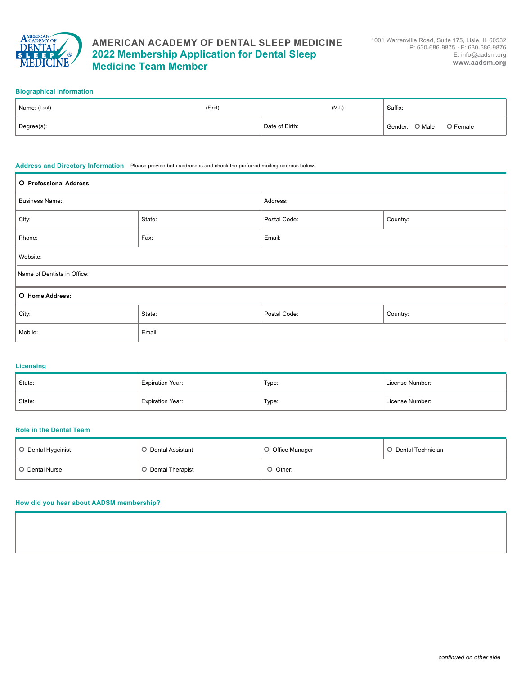

# **AMERICAN ACADEMY OF DENTAL SLEEP MEDICINE 2022 Membership Application for Dental Sleep Medicine Team Member**

## **Biographical Information**

| Name: (Last) | (First) | (M.I.)         | Suffix:                 |
|--------------|---------|----------------|-------------------------|
| Degree(s):   |         | Date of Birth: | Gender: O Male O Female |

### **Address and Directory Information** Please provide both addresses and check the preferred mailing address below.

| <b>O</b> Professional Address |        |                          |          |  |
|-------------------------------|--------|--------------------------|----------|--|
| <b>Business Name:</b>         |        | Address:                 |          |  |
| City:                         | State: | Postal Code:<br>Country: |          |  |
| Phone:                        | Fax:   | Email:                   |          |  |
| Website:                      |        |                          |          |  |
| Name of Dentists in Office:   |        |                          |          |  |
| O Home Address:               |        |                          |          |  |
| City:                         | State: | Postal Code:             | Country: |  |
| Mobile:                       | Email: |                          |          |  |

# **Licensing**

| State: | <b>Expiration Year:</b> | Type: | License Number: |
|--------|-------------------------|-------|-----------------|
| State: | <b>Expiration Year:</b> | Type: | License Number: |

## **Role in the Dental Team**

| O Dental Hygeinist | Dental Assistant   | O Office Manager | O Dental Technician |
|--------------------|--------------------|------------------|---------------------|
| Dental Nurse       | O Dental Therapist | O Other:         |                     |

# **How did you hear about AADSM membership?**